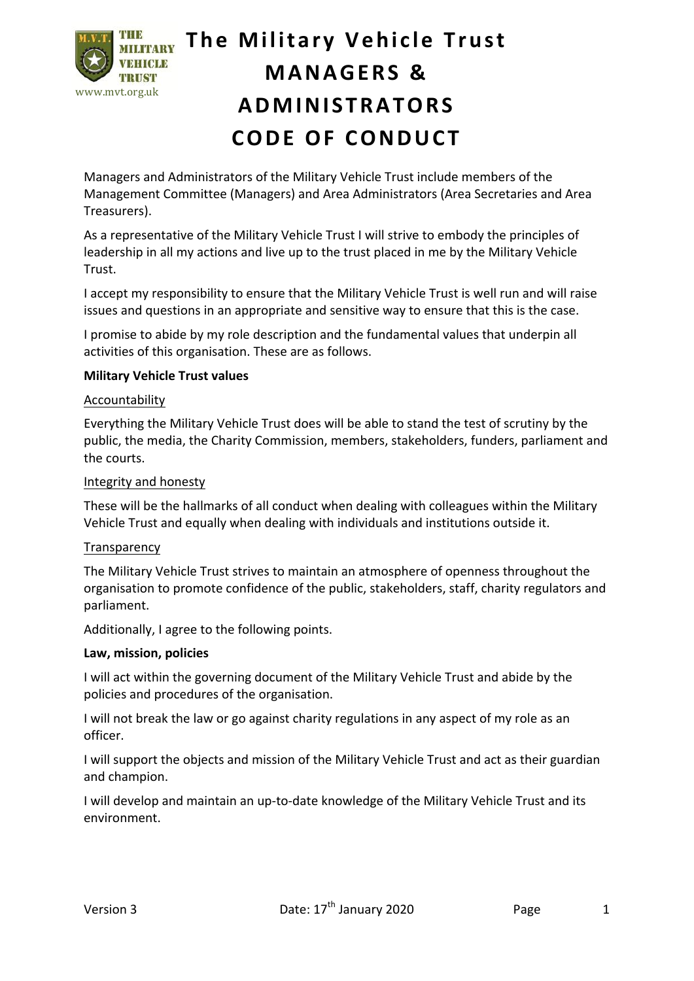

## **The Military Vehicle Trust MANAGERS & ADMINISTRATORS CODE O F CONDUCT**

Managers and Administrators of the Military Vehicle Trust include members of the Management Committee (Managers) and Area Administrators (Area Secretaries and Area Treasurers).

As a representative of the Military Vehicle Trust I will strive to embody the principles of leadership in all my actions and live up to the trust placed in me by the Military Vehicle Trust.

I accept my responsibility to ensure that the Military Vehicle Trust is well run and will raise issues and questions in an appropriate and sensitive way to ensure that this is the case.

I promise to abide by my role description and the fundamental values that underpin all activities of this organisation. These are as follows.

## **Military Vehicle Trust values**

#### **Accountability**

Everything the Military Vehicle Trust does will be able to stand the test of scrutiny by the public, the media, the Charity Commission, members, stakeholders, funders, parliament and the courts.

## Integrity and honesty

These will be the hallmarks of all conduct when dealing with colleagues within the Military Vehicle Trust and equally when dealing with individuals and institutions outside it.

#### **Transparency**

The Military Vehicle Trust strives to maintain an atmosphere of openness throughout the organisation to promote confidence of the public, stakeholders, staff, charity regulators and parliament.

Additionally, I agree to the following points.

#### **Law, mission, policies**

I will act within the governing document of the Military Vehicle Trust and abide by the policies and procedures of the organisation.

I will not break the law or go against charity regulations in any aspect of my role as an officer.

I will support the objects and mission of the Military Vehicle Trust and act as their guardian and champion.

I will develop and maintain an up-to-date knowledge of the Military Vehicle Trust and its environment.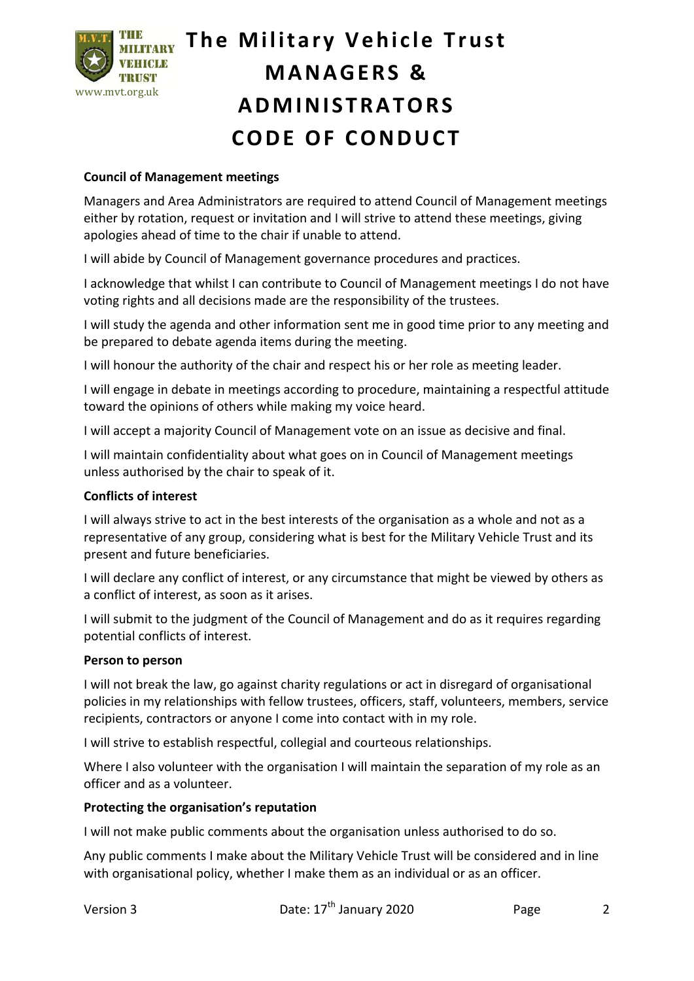

# **The Military Vehicle Trust MANAGERS & ADMINISTRATORS CODE O F CONDUCT**

## **Council of Management meetings**

Managers and Area Administrators are required to attend Council of Management meetings either by rotation, request or invitation and I will strive to attend these meetings, giving apologies ahead of time to the chair if unable to attend.

I will abide by Council of Management governance procedures and practices.

I acknowledge that whilst I can contribute to Council of Management meetings I do not have voting rights and all decisions made are the responsibility of the trustees.

I will study the agenda and other information sent me in good time prior to any meeting and be prepared to debate agenda items during the meeting.

I will honour the authority of the chair and respect his or her role as meeting leader.

I will engage in debate in meetings according to procedure, maintaining a respectful attitude toward the opinions of others while making my voice heard.

I will accept a majority Council of Management vote on an issue as decisive and final.

I will maintain confidentiality about what goes on in Council of Management meetings unless authorised by the chair to speak of it.

#### **Conflicts of interest**

I will always strive to act in the best interests of the organisation as a whole and not as a representative of any group, considering what is best for the Military Vehicle Trust and its present and future beneficiaries.

I will declare any conflict of interest, or any circumstance that might be viewed by others as a conflict of interest, as soon as it arises.

I will submit to the judgment of the Council of Management and do as it requires regarding potential conflicts of interest.

#### **Person to person**

I will not break the law, go against charity regulations or act in disregard of organisational policies in my relationships with fellow trustees, officers, staff, volunteers, members, service recipients, contractors or anyone I come into contact with in my role.

I will strive to establish respectful, collegial and courteous relationships.

Where I also volunteer with the organisation I will maintain the separation of my role as an officer and as a volunteer.

#### **Protecting the organisation's reputation**

I will not make public comments about the organisation unless authorised to do so.

Any public comments I make about the Military Vehicle Trust will be considered and in line with organisational policy, whether I make them as an individual or as an officer.